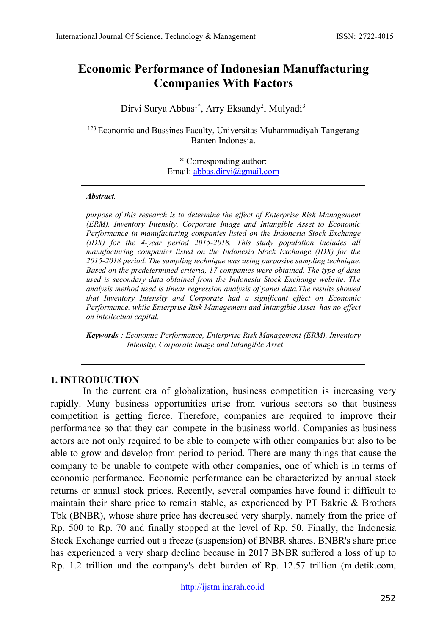# **Economic Performance of Indonesian Manuffacturing Ccompanies With Factors**

Dirvi Surya Abbas<sup>1\*</sup>, Arry Eksandy<sup>2</sup>, Mulyadi<sup>3</sup>

<sup>123</sup> Economic and Bussines Faculty, Universitas Muhammadiyah Tangerang Banten Indonesia.

> \* Corresponding author: Email: [abbas.dirvi@gmail.com](mailto:abbas.dirvi@gmail.com)

#### *Abstract.*

*purpose of this research is to determine the effect of Enterprise Risk Management (ERM), Inventory Intensity, Corporate Image and Intangible Asset to Economic Performance in manufacturing companies listed on the Indonesia Stock Exchange (IDX) for the 4-year period 2015-2018. This study population includes all manufacturing companies listed on the Indonesia Stock Exchange (IDX) for the 2015-2018 period. The sampling technique was using purposive sampling technique. Based on the predetermined criteria, 17 companies were obtained. The type of data used is secondary data obtained from the Indonesia Stock Exchange website. The analysis method used is linear regression analysis of panel data.The results showed that Inventory Intensity and Corporate had a significant effect on Economic Performance. while Enterprise Risk Management and Intangible Asset has no effect on intellectual capital.* 

*Keywords : Economic Performance, Enterprise Risk Management (ERM), Inventory Intensity, Corporate Image and Intangible Asset*

### **1. INTRODUCTION**

In the current era of globalization, business competition is increasing very rapidly. Many business opportunities arise from various sectors so that business competition is getting fierce. Therefore, companies are required to improve their performance so that they can compete in the business world. Companies as business actors are not only required to be able to compete with other companies but also to be able to grow and develop from period to period. There are many things that cause the company to be unable to compete with other companies, one of which is in terms of economic performance. Economic performance can be characterized by annual stock returns or annual stock prices. Recently, several companies have found it difficult to maintain their share price to remain stable, as experienced by PT Bakrie & Brothers Tbk (BNBR), whose share price has decreased very sharply, namely from the price of Rp. 500 to Rp. 70 and finally stopped at the level of Rp. 50. Finally, the Indonesia Stock Exchange carried out a freeze (suspension) of BNBR shares. BNBR's share price has experienced a very sharp decline because in 2017 BNBR suffered a loss of up to Rp. 1.2 trillion and the company's debt burden of Rp. 12.57 trillion (m.detik.com,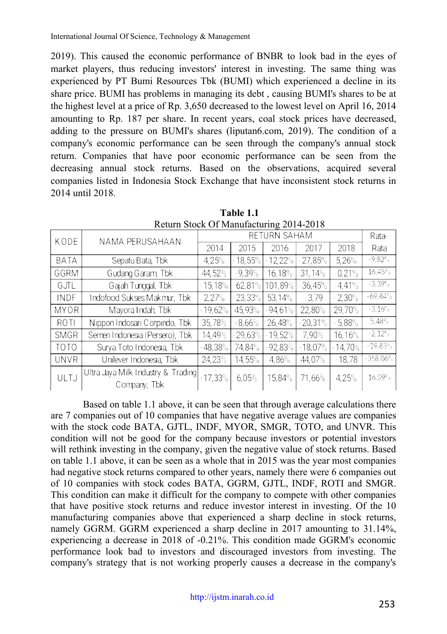2019). This caused the economic performance of BNBR to look bad in the eyes of market players, thus reducing investors' interest in investing. The same thing was experienced by PT Bumi Resources Tbk (BUMI) which experienced a decline in its share price. BUMI has problems in managing its debt , causing BUMI's shares to be at the highest level at a price of Rp. 3,650 decreased to the lowest level on April 16, 2014 amounting to Rp. 187 per share. In recent years, coal stock prices have decreased, adding to the pressure on BUMI's shares (liputan6.com, 2019). The condition of a company's economic performance can be seen through the company's annual stock return. Companies that have poor economic performance can be seen from the decreasing annual stock returns. Based on the observations, acquired several companies listed in Indonesia Stock Exchange that have inconsistent stock returns in 2014 until 2018.

| KODE        | NAMA PERUSAHAAN                                    |            |           | RETURN SAHAM |           |           |            |
|-------------|----------------------------------------------------|------------|-----------|--------------|-----------|-----------|------------|
|             |                                                    | 2014       | 2015      | 2016         | 2017      | 2018      | Rata       |
| <b>BATA</b> | Sepatu Bata, Tbk                                   | 4,25%      | 18,55%    | $-12,22%$    | $-27,85%$ | 5,26%     | $-9.82\%$  |
| GGRM        | Gudang Garam Tbk                                   | 44,52%     | $-9,39%$  | 16,18%       | 31,14%    | $-0.21%$  | $16,45\%$  |
| GJTL        | Gajah Tunggal, Tbk                                 | $-15,18%$  | 62,81%    | 101,89%      | $-36,45%$ | $-4.41%$  | $-3.39%$   |
| INDF        | Indofood Sukses Makmur, Tbk                        | 2,27%      | $-23.33%$ | 53,14%       | $-3.79$   | $-2.30%$  | $-69.84%$  |
| <b>MYOR</b> | Mayora Indah, Tbk                                  | $-19,62%$  | 45,93%    | $-94.61%$    | 22,80%    | 29,70%    | $-3.16%$   |
| ROTI        | Nippon Indosari Corpindo, Tbk                      | 35,78%     | $-8,66%$  | 26,48%       | $-20,31%$ | $-5.88%$  | 5,48%      |
| <b>SMGR</b> | Semen Indonesia (Persero), Tbk                     | 14,49%     | $-29,63%$ | $-19,52\%$   | 7.90%     | 16,16%    | $-2.12%$   |
| <b>TOTO</b> | Surya Toto Indonesia, Tbk                          | $-48,38\%$ | 74,84%    | $-92,83%$    | $-18,07%$ | $-14,70%$ | $-19.83%$  |
| <b>UNVR</b> | Unilever Indonesia, Tbk                            | 24,23%     | 14,55%    | 4,86%        | 44,07%    | $-18.78$  | $-358.06%$ |
| ULTJ        | Ultra Jaya Milk Industry & Trading<br>Company, Tbk | $-17,33%$  | 6.05%     | 15,84%       | 71,66%    | 4,25%     | 16.09%     |

**Table 1.1** Return Stock Of Manufacturing 2014-2018

Based on table 1.1 above, it can be seen that through average calculations there are 7 companies out of 10 companies that have negative average values are companies with the stock code BATA, GJTL, INDF, MYOR, SMGR, TOTO, and UNVR. This condition will not be good for the company because investors or potential investors will rethink investing in the company, given the negative value of stock returns. Based on table 1.1 above, it can be seen as a whole that in 2015 was the year most companies had negative stock returns compared to other years, namely there were 6 companies out of 10 companies with stock codes BATA, GGRM, GJTL, INDF, ROTI and SMGR. This condition can make it difficult for the company to compete with other companies that have positive stock returns and reduce investor interest in investing. Of the 10 manufacturing companies above that experienced a sharp decline in stock returns, namely GGRM. GGRM experienced a sharp decline in 2017 amounting to 31.14%, experiencing a decrease in 2018 of -0.21%. This condition made GGRM's economic performance look bad to investors and discouraged investors from investing. The company's strategy that is not working properly causes a decrease in the company's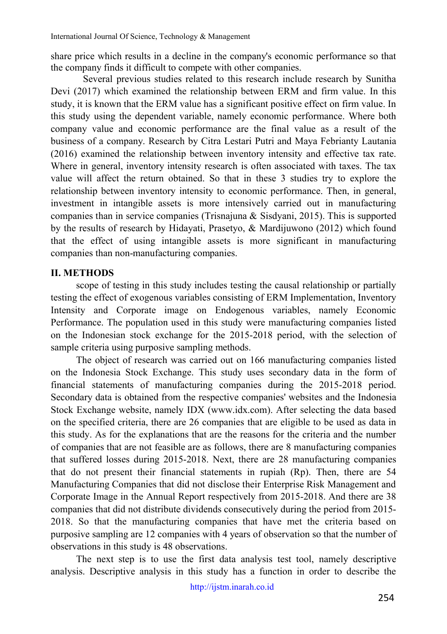share price which results in a decline in the company's economic performance so that the company finds it difficult to compete with other companies.

Several previous studies related to this research include research by Sunitha Devi (2017) which examined the relationship between ERM and firm value. In this study, it is known that the ERM value has a significant positive effect on firm value. In this study using the dependent variable, namely economic performance. Where both company value and economic performance are the final value as a result of the business of a company. Research by Citra Lestari Putri and Maya Febrianty Lautania (2016) examined the relationship between inventory intensity and effective tax rate. Where in general, inventory intensity research is often associated with taxes. The tax value will affect the return obtained. So that in these 3 studies try to explore the relationship between inventory intensity to economic performance. Then, in general, investment in intangible assets is more intensively carried out in manufacturing companies than in service companies (Trisnajuna & Sisdyani, 2015). This is supported by the results of research by Hidayati, Prasetyo, & Mardijuwono (2012) which found that the effect of using intangible assets is more significant in manufacturing companies than non-manufacturing companies.

# **II. METHODS**

scope of testing in this study includes testing the causal relationship or partially testing the effect of exogenous variables consisting of ERM Implementation, Inventory Intensity and Corporate image on Endogenous variables, namely Economic Performance. The population used in this study were manufacturing companies listed on the Indonesian stock exchange for the 2015-2018 period, with the selection of sample criteria using purposive sampling methods.

The object of research was carried out on 166 manufacturing companies listed on the Indonesia Stock Exchange. This study uses secondary data in the form of financial statements of manufacturing companies during the 2015-2018 period. Secondary data is obtained from the respective companies' websites and the Indonesia Stock Exchange website, namely IDX (www.idx.com). After selecting the data based on the specified criteria, there are 26 companies that are eligible to be used as data in this study. As for the explanations that are the reasons for the criteria and the number of companies that are not feasible are as follows, there are 8 manufacturing companies that suffered losses during 2015-2018. Next, there are 28 manufacturing companies that do not present their financial statements in rupiah (Rp). Then, there are 54 Manufacturing Companies that did not disclose their Enterprise Risk Management and Corporate Image in the Annual Report respectively from 2015-2018. And there are 38 companies that did not distribute dividends consecutively during the period from 2015- 2018. So that the manufacturing companies that have met the criteria based on purposive sampling are 12 companies with 4 years of observation so that the number of observations in this study is 48 observations.

The next step is to use the first data analysis test tool, namely descriptive analysis. Descriptive analysis in this study has a function in order to describe the

[http://ijstm.inarah.co.id](http://ijstm.inarah.co.id/index.php/ijstm/about/submissions)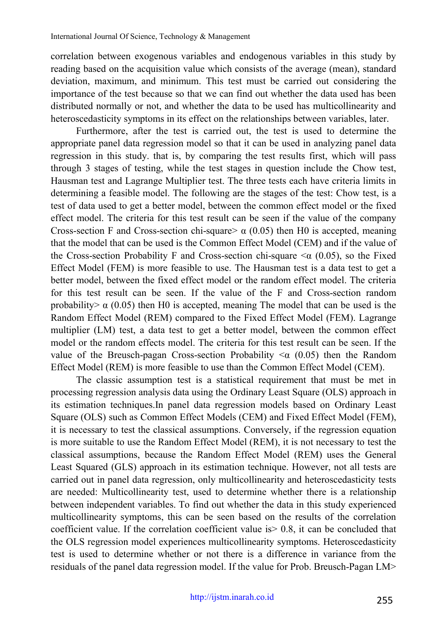correlation between exogenous variables and endogenous variables in this study by reading based on the acquisition value which consists of the average (mean), standard deviation, maximum, and minimum. This test must be carried out considering the importance of the test because so that we can find out whether the data used has been distributed normally or not, and whether the data to be used has multicollinearity and heteroscedasticity symptoms in its effect on the relationships between variables, later.

Furthermore, after the test is carried out, the test is used to determine the appropriate panel data regression model so that it can be used in analyzing panel data regression in this study. that is, by comparing the test results first, which will pass through 3 stages of testing, while the test stages in question include the Chow test, Hausman test and Lagrange Multiplier test. The three tests each have criteria limits in determining a feasible model. The following are the stages of the test: Chow test, is a test of data used to get a better model, between the common effect model or the fixed effect model. The criteria for this test result can be seen if the value of the company Cross-section F and Cross-section chi-square  $\alpha$  (0.05) then H0 is accepted, meaning that the model that can be used is the Common Effect Model (CEM) and if the value of the Cross-section Probability F and Cross-section chi-square  $\alpha$  (0.05), so the Fixed Effect Model (FEM) is more feasible to use. The Hausman test is a data test to get a better model, between the fixed effect model or the random effect model. The criteria for this test result can be seen. If the value of the F and Cross-section random probability  $\alpha$  (0.05) then H0 is accepted, meaning The model that can be used is the Random Effect Model (REM) compared to the Fixed Effect Model (FEM). Lagrange multiplier (LM) test, a data test to get a better model, between the common effect model or the random effects model. The criteria for this test result can be seen. If the value of the Breusch-pagan Cross-section Probability  $\leq \alpha$  (0.05) then the Random Effect Model (REM) is more feasible to use than the Common Effect Model (CEM).

The classic assumption test is a statistical requirement that must be met in processing regression analysis data using the Ordinary Least Square (OLS) approach in its estimation techniques.In panel data regression models based on Ordinary Least Square (OLS) such as Common Effect Models (CEM) and Fixed Effect Model (FEM), it is necessary to test the classical assumptions. Conversely, if the regression equation is more suitable to use the Random Effect Model (REM), it is not necessary to test the classical assumptions, because the Random Effect Model (REM) uses the General Least Squared (GLS) approach in its estimation technique. However, not all tests are carried out in panel data regression, only multicollinearity and heteroscedasticity tests are needed: Multicollinearity test, used to determine whether there is a relationship between independent variables. To find out whether the data in this study experienced multicollinearity symptoms, this can be seen based on the results of the correlation coefficient value. If the correlation coefficient value is> 0.8, it can be concluded that the OLS regression model experiences multicollinearity symptoms. Heteroscedasticity test is used to determine whether or not there is a difference in variance from the residuals of the panel data regression model. If the value for Prob. Breusch-Pagan LM>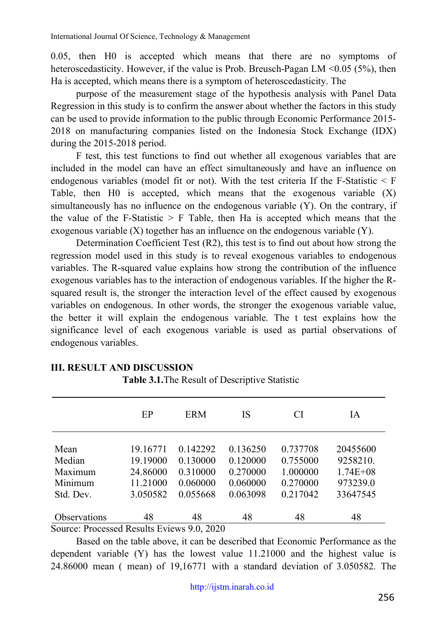0.05, then H0 is accepted which means that there are no symptoms of heteroscedasticity. However, if the value is Prob. Breusch-Pagan LM <0.05 (5%), then Ha is accepted, which means there is a symptom of heteroscedasticity. The

purpose of the measurement stage of the hypothesis analysis with Panel Data Regression in this study is to confirm the answer about whether the factors in this study can be used to provide information to the public through Economic Performance 2015- 2018 on manufacturing companies listed on the Indonesia Stock Exchange (IDX) during the 2015-2018 period.

F test, this test functions to find out whether all exogenous variables that are included in the model can have an effect simultaneously and have an influence on endogenous variables (model fit or not). With the test criteria If the F-Statistic  $\leq$  F Table, then H0 is accepted, which means that the exogenous variable  $(X)$ simultaneously has no influence on the endogenous variable (Y). On the contrary, if the value of the F-Statistic  $>$  F Table, then Ha is accepted which means that the exogenous variable (X) together has an influence on the endogenous variable (Y).

Determination Coefficient Test (R2), this test is to find out about how strong the regression model used in this study is to reveal exogenous variables to endogenous variables. The R-squared value explains how strong the contribution of the influence exogenous variables has to the interaction of endogenous variables. If the higher the Rsquared result is, the stronger the interaction level of the effect caused by exogenous variables on endogenous. In other words, the stronger the exogenous variable value, the better it will explain the endogenous variable. The t test explains how the significance level of each exogenous variable is used as partial observations of endogenous variables.

|                                                                                                                                         | EP       | ERM      | IS       | <b>CI</b> | IA           |
|-----------------------------------------------------------------------------------------------------------------------------------------|----------|----------|----------|-----------|--------------|
| Mean                                                                                                                                    | 19.16771 | 0.142292 | 0.136250 | 0.737708  | 20455600     |
| Median                                                                                                                                  | 19.19000 | 0.130000 | 0.120000 | 0.755000  | 9258210.     |
| Maximum                                                                                                                                 | 24.86000 | 0.310000 | 0.270000 | 1.000000  | $1.74E + 08$ |
| Minimum                                                                                                                                 | 11.21000 | 0.060000 | 0.060000 | 0.270000  | 973239.0     |
| Std. Dev.                                                                                                                               | 3.050582 | 0.055668 | 0.063098 | 0.217042  | 33647545     |
| Observations<br>$S_{\text{current}}$ $D_{\text{measured}}$ $D_{\text{result}}$ $D_{\text{right}}$ $D_{\text{right}}$ $D_{\text{right}}$ | 48       | 48       | 48       | 48        | 48           |

# **III. RESULT AND DISCUSSION**

**Table 3.1.**The Result of Descriptive Statistic

Source: Processed Results Eviews 9.0, 2020

Based on the table above, it can be described that Economic Performance as the dependent variable (Y) has the lowest value 11.21000 and the highest value is 24.86000 mean ( mean) of 19,16771 with a standard deviation of 3.050582. The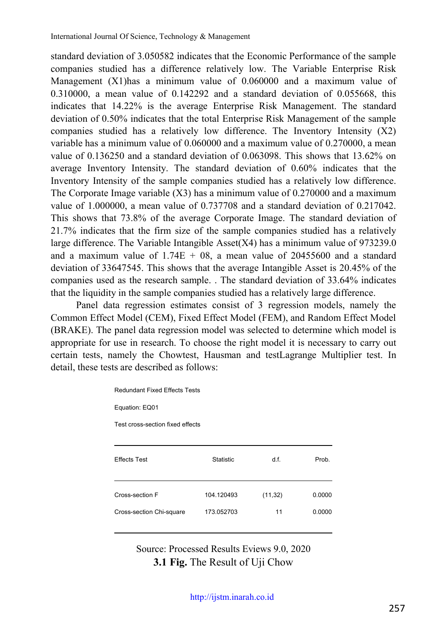standard deviation of 3.050582 indicates that the Economic Performance of the sample companies studied has a difference relatively low. The Variable Enterprise Risk Management (X1)has a minimum value of 0.060000 and a maximum value of  $0.310000$ , a mean value of  $0.142292$  and a standard deviation of  $0.055668$ , this indicates that 14.22% is the average Enterprise Risk Management. The standard deviation of 0.50% indicates that the total Enterprise Risk Management of the sample companies studied has a relatively low difference. The Inventory Intensity (X2) variable has a minimum value of 0.060000 and a maximum value of 0.270000, a mean value of 0.136250 and a standard deviation of 0.063098. This shows that 13.62% on average Inventory Intensity. The standard deviation of 0.60% indicates that the Inventory Intensity of the sample companies studied has a relatively low difference. The Corporate Image variable (X3) has a minimum value of 0.270000 and a maximum value of 1.000000, a mean value of 0.737708 and a standard deviation of 0.217042. This shows that 73.8% of the average Corporate Image. The standard deviation of 21.7% indicates that the firm size of the sample companies studied has a relatively large difference. The Variable Intangible Asset(X4) has a minimum value of 973239.0 and a maximum value of  $1.74E + 08$ , a mean value of 20455600 and a standard deviation of 33647545. This shows that the average Intangible Asset is 20.45% of the companies used as the research sample. . The standard deviation of 33.64% indicates that the liquidity in the sample companies studied has a relatively large difference.

Panel data regression estimates consist of 3 regression models, namely the Common Effect Model (CEM), Fixed Effect Model (FEM), and Random Effect Model (BRAKE). The panel data regression model was selected to determine which model is appropriate for use in research. To choose the right model it is necessary to carry out certain tests, namely the Chowtest, Hausman and testLagrange Multiplier test. In detail, these tests are described as follows:

| <b>Redundant Fixed Effects Tests</b> |                  |          |        |  |  |  |
|--------------------------------------|------------------|----------|--------|--|--|--|
| Equation: EQ01                       |                  |          |        |  |  |  |
| Test cross-section fixed effects     |                  |          |        |  |  |  |
|                                      |                  |          |        |  |  |  |
| <b>Effects Test</b>                  | <b>Statistic</b> | d.f.     | Prob.  |  |  |  |
|                                      |                  |          |        |  |  |  |
| Cross-section F                      | 104.120493       | (11, 32) | 0.0000 |  |  |  |
| Cross-section Chi-square             | 173.052703       | 11       | 0.0000 |  |  |  |
|                                      |                  |          |        |  |  |  |

Source: Processed Results Eviews 9.0, 2020 **3.1 Fig.** The Result of Uji Chow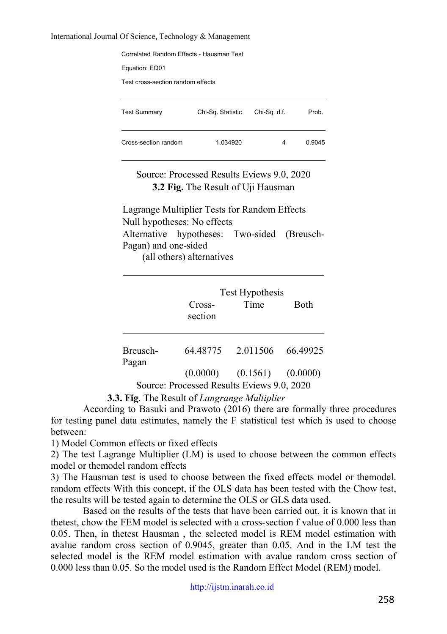#### International Journal Of Science, Technology & Management

| Correlated Random Effects - Hausman Test |                   |              |        |  |  |  |
|------------------------------------------|-------------------|--------------|--------|--|--|--|
| Equation: EQ01                           |                   |              |        |  |  |  |
| Test cross-section random effects        |                   |              |        |  |  |  |
|                                          |                   |              |        |  |  |  |
| <b>Test Summary</b>                      | Chi-Sq. Statistic | Chi-Sq. d.f. | Prob.  |  |  |  |
|                                          |                   |              |        |  |  |  |
| Cross-section random                     | 1 034920          | 4            | 0.9045 |  |  |  |
|                                          |                   |              |        |  |  |  |

Source: Processed Results Eviews 9.0, 2020 **3.2 Fig.** The Result of Uji Hausman

Lagrange Multiplier Tests for Random Effects Null hypotheses: No effects Alternative hypotheses: Two-sided (Breusch-Pagan) and one-sided (all others) alternatives

|          | Cross-<br>section                          | Test Hypothesis<br>Time          | <b>Both</b> |
|----------|--------------------------------------------|----------------------------------|-------------|
| Breusch- | 64.48775                                   | 2.011506                         | 66.49925    |
| Pagan    |                                            | $(0.0000)$ $(0.1561)$ $(0.0000)$ |             |
|          | Source: Processed Results Eviews 9.0, 2020 |                                  |             |

**3.3. Fig**. The Result of *Langrange Multiplier*

According to Basuki and Prawoto (2016) there are formally three procedures for testing panel data estimates, namely the F statistical test which is used to choose between:

1) Model Common effects or fixed effects

2) The test Lagrange Multiplier (LM) is used to choose between the common effects model or themodel random effects

3) The Hausman test is used to choose between the fixed effects model or themodel. random effects With this concept, if the OLS data has been tested with the Chow test, the results will be tested again to determine the OLS or GLS data used.

Based on the results of the tests that have been carried out, it is known that in thetest, chow the FEM model is selected with a cross-section f value of 0.000 less than 0.05. Then, in thetest Hausman , the selected model is REM model estimation with avalue random cross section of 0.9045, greater than 0.05. And in the LM test the selected model is the REM model estimation with avalue random cross section of 0.000 less than 0.05. So the model used is the Random Effect Model (REM) model.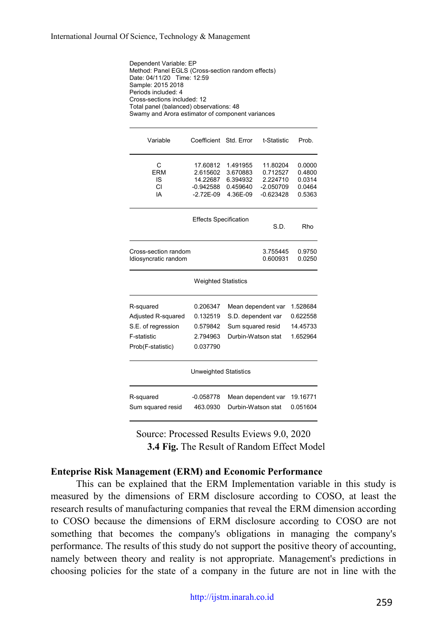Dependent Variable: EP Method: Panel EGLS (Cross-section random effects) Date: 04/11/20 Time: 12:59 Sample: 2015 2018 Periods included: 4 Cross-sections included: 12 Total panel (balanced) observations: 48 Swamy and Arora estimator of component variances

| Variable                                                                                  | Coefficient Std. Error                                           |                                                                                     | t-Statistic                                                    | Prob.                                          |  |  |
|-------------------------------------------------------------------------------------------|------------------------------------------------------------------|-------------------------------------------------------------------------------------|----------------------------------------------------------------|------------------------------------------------|--|--|
| С<br><b>ERM</b><br>IS<br>CI<br>IΑ                                                         | 17.60812<br>2.615602<br>14.22687<br>$-0.942588$<br>$-2.72E - 09$ | 1.491955<br>3.670883<br>6.394932<br>0.459640<br>4.36E-09                            | 11.80204<br>0.712527<br>2.224710<br>$-2.050709$<br>$-0.623428$ | 0.0000<br>0.4800<br>0.0314<br>0.0464<br>0.5363 |  |  |
|                                                                                           | <b>Effects Specification</b>                                     |                                                                                     | S.D.                                                           | Rho                                            |  |  |
| Cross-section random<br>Idiosyncratic random                                              |                                                                  |                                                                                     | 3.755445<br>0.600931                                           | 0.9750<br>0.0250                               |  |  |
|                                                                                           | <b>Weighted Statistics</b>                                       |                                                                                     |                                                                |                                                |  |  |
| R-squared<br>Adjusted R-squared<br>S.E. of regression<br>F-statistic<br>Prob(F-statistic) | 0.206347<br>0.132519<br>0.579842<br>2.794963<br>0.037790         | Mean dependent var<br>S.D. dependent var<br>Sum squared resid<br>Durbin-Watson stat |                                                                | 1.528684<br>0.622558<br>14.45733<br>1.652964   |  |  |
| <b>Unweighted Statistics</b>                                                              |                                                                  |                                                                                     |                                                                |                                                |  |  |
| R-squared<br>Sum squared resid                                                            | $-0.058778$<br>463.0930                                          | Mean dependent var<br>Durbin-Watson stat                                            |                                                                | 19.16771<br>0.051604                           |  |  |

Source: Processed Results Eviews 9.0, 2020 **3.4 Fig.** The Result of Random Effect Model

### **Enteprise Risk Management (ERM) and Economic Performance**

This can be explained that the ERM Implementation variable in this study is measured by the dimensions of ERM disclosure according to COSO, at least the research results of manufacturing companies that reveal the ERM dimension according to COSO because the dimensions of ERM disclosure according to COSO are not something that becomes the company's obligations in managing the company's performance. The results of this study do not support the positive theory of accounting, namely between theory and reality is not appropriate. Management's predictions in choosing policies for the state of a company in the future are not in line with the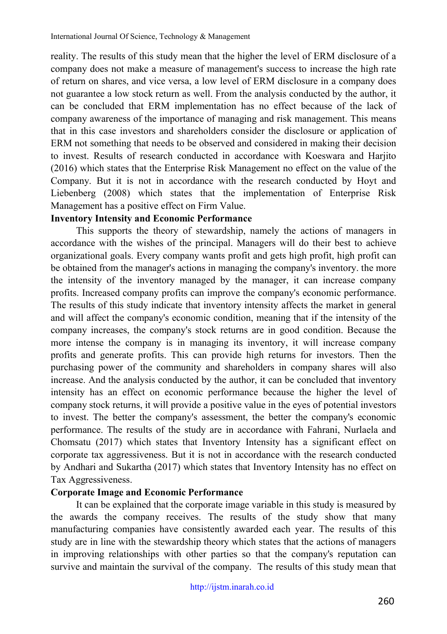reality. The results of this study mean that the higher the level of ERM disclosure of a company does not make a measure of management's success to increase the high rate of return on shares, and vice versa, a low level of ERM disclosure in a company does not guarantee a low stock return as well. From the analysis conducted by the author, it can be concluded that ERM implementation has no effect because of the lack of company awareness of the importance of managing and risk management. This means that in this case investors and shareholders consider the disclosure or application of ERM not something that needs to be observed and considered in making their decision to invest. Results of research conducted in accordance with Koeswara and Harjito (2016) which states that the Enterprise Risk Management no effect on the value of the Company. But it is not in accordance with the research conducted by Hoyt and Liebenberg (2008) which states that the implementation of Enterprise Risk Management has a positive effect on Firm Value.

# **Inventory Intensity and Economic Performance**

This supports the theory of stewardship, namely the actions of managers in accordance with the wishes of the principal. Managers will do their best to achieve organizational goals. Every company wants profit and gets high profit, high profit can be obtained from the manager's actions in managing the company's inventory. the more the intensity of the inventory managed by the manager, it can increase company profits. Increased company profits can improve the company's economic performance. The results of this study indicate that inventory intensity affects the market in general and will affect the company's economic condition, meaning that if the intensity of the company increases, the company's stock returns are in good condition. Because the more intense the company is in managing its inventory, it will increase company profits and generate profits. This can provide high returns for investors. Then the purchasing power of the community and shareholders in company shares will also increase. And the analysis conducted by the author, it can be concluded that inventory intensity has an effect on economic performance because the higher the level of company stock returns, it will provide a positive value in the eyes of potential investors to invest. The better the company's assessment, the better the company's economic performance. The results of the study are in accordance with Fahrani, Nurlaela and Chomsatu (2017) which states that Inventory Intensity has a significant effect on corporate tax aggressiveness. But it is not in accordance with the research conducted by Andhari and Sukartha (2017) which states that Inventory Intensity has no effect on Tax Aggressiveness.

# **Corporate Image and Economic Performance**

It can be explained that the corporate image variable in this study is measured by the awards the company receives. The results of the study show that many manufacturing companies have consistently awarded each year. The results of this study are in line with the stewardship theory which states that the actions of managers in improving relationships with other parties so that the company's reputation can survive and maintain the survival of the company. The results of this study mean that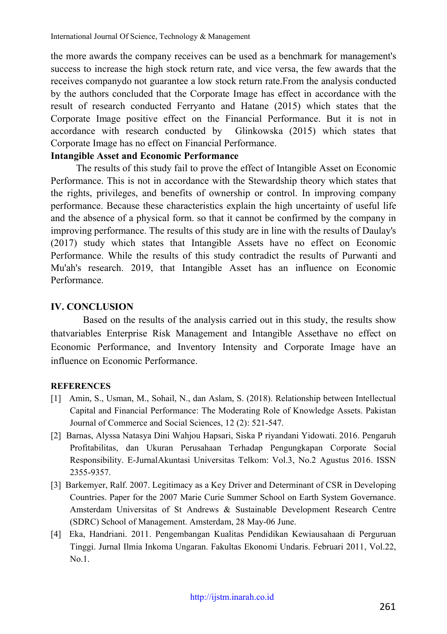the more awards the company receives can be used as a benchmark for management's success to increase the high stock return rate, and vice versa, the few awards that the receives companydo not guarantee a low stock return rate.From the analysis conducted by the authors concluded that the Corporate Image has effect in accordance with the result of research conducted Ferryanto and Hatane (2015) which states that the Corporate Image positive effect on the Financial Performance. But it is not in accordance with research conducted by Glinkowska (2015) which states that Corporate Image has no effect on Financial Performance.

## **Intangible Asset and Economic Performance**

The results of this study fail to prove the effect of Intangible Asset on Economic Performance. This is not in accordance with the Stewardship theory which states that the rights, privileges, and benefits of ownership or control. In improving company performance. Because these characteristics explain the high uncertainty of useful life and the absence of a physical form. so that it cannot be confirmed by the company in improving performance. The results of this study are in line with the results of Daulay's (2017) study which states that Intangible Assets have no effect on Economic Performance. While the results of this study contradict the results of Purwanti and Mu'ah's research. 2019, that Intangible Asset has an influence on Economic Performance.

# **IV. CONCLUSION**

Based on the results of the analysis carried out in this study, the results show thatvariables Enterprise Risk Management and Intangible Assethave no effect on Economic Performance, and Inventory Intensity and Corporate Image have an influence on Economic Performance.

### **REFERENCES**

- [1] Amin, S., Usman, M., Sohail, N., dan Aslam, S. (2018). Relationship between Intellectual Capital and Financial Performance: The Moderating Role of Knowledge Assets. Pakistan Journal of Commerce and Social Sciences, 12 (2): 521-547.
- [2] Barnas, Alyssa Natasya Dini Wahjou Hapsari, Siska P riyandani Yidowati. 2016. Pengaruh Profitabilitas, dan Ukuran Perusahaan Terhadap Pengungkapan Corporate Social Responsibility. E-JurnalAkuntasi Universitas Telkom: Vol.3, No.2 Agustus 2016. ISSN 2355-9357.
- [3] Barkemyer, Ralf. 2007. Legitimacy as a Key Driver and Determinant of CSR in Developing Countries. Paper for the 2007 Marie Curie Summer School on Earth System Governance. Amsterdam Universitas of St Andrews & Sustainable Development Research Centre (SDRC) School of Management. Amsterdam, 28 May-06 June.
- [4] Eka, Handriani. 2011. Pengembangan Kualitas Pendidikan Kewiausahaan di Perguruan Tinggi. Jurnal Ilmia Inkoma Ungaran. Fakultas Ekonomi Undaris. Februari 2011, Vol.22,  $N<sub>0</sub>1$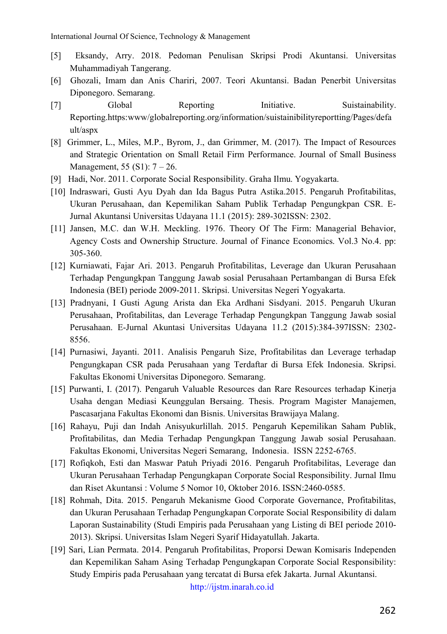- [5] Eksandy, Arry. 2018. Pedoman Penulisan Skripsi Prodi Akuntansi. Universitas Muhammadiyah Tangerang.
- [6] Ghozali, Imam dan Anis Chariri, 2007. Teori Akuntansi. Badan Penerbit Universitas Diponegoro. Semarang.
- [7] Global Reporting Initiative. Suistainability. Reporting.https:www/globalreporting.org/information/suistainibilityreportting/Pages/defa ult/aspx
- [8] Grimmer, L., Miles, M.P., Byrom, J., dan Grimmer, M. (2017). The Impact of Resources and Strategic Orientation on Small Retail Firm Performance. Journal of Small Business Management, 55 (S1): 7 – 26.
- [9] Hadi, Nor. 2011. Corporate Social Responsibility. Graha Ilmu. Yogyakarta.
- [10] Indraswari, Gusti Ayu Dyah dan Ida Bagus Putra Astika.2015. Pengaruh Profitabilitas, Ukuran Perusahaan, dan Kepemilikan Saham Publik Terhadap Pengungkpan CSR. E-Jurnal Akuntansi Universitas Udayana 11.1 (2015): 289-302ISSN: 2302.
- [11] Jansen, M.C. dan W.H. Meckling. 1976. Theory Of The Firm: Managerial Behavior, Agency Costs and Ownership Structure. Journal of Finance Economics. Vol.3 No.4. pp: 305-360.
- [12] Kurniawati, Fajar Ari. 2013. Pengaruh Profitabilitas, Leverage dan Ukuran Perusahaan Terhadap Pengungkpan Tanggung Jawab sosial Perusahaan Pertambangan di Bursa Efek Indonesia (BEI) periode 2009-2011. Skripsi. Universitas Negeri Yogyakarta.
- [13] Pradnyani, I Gusti Agung Arista dan Eka Ardhani Sisdyani. 2015. Pengaruh Ukuran Perusahaan, Profitabilitas, dan Leverage Terhadap Pengungkpan Tanggung Jawab sosial Perusahaan. E-Jurnal Akuntasi Universitas Udayana 11.2 (2015):384-397ISSN: 2302- 8556.
- [14] Purnasiwi, Jayanti. 2011. Analisis Pengaruh Size, Profitabilitas dan Leverage terhadap Pengungkapan CSR pada Perusahaan yang Terdaftar di Bursa Efek Indonesia. Skripsi. Fakultas Ekonomi Universitas Diponegoro. Semarang.
- [15] Purwanti, I. (2017). Pengaruh Valuable Resources dan Rare Resources terhadap Kinerja Usaha dengan Mediasi Keunggulan Bersaing. Thesis. Program Magister Manajemen, Pascasarjana Fakultas Ekonomi dan Bisnis. Universitas Brawijaya Malang.
- [16] Rahayu, Puji dan Indah Anisyukurlillah. 2015. Pengaruh Kepemilikan Saham Publik, Profitabilitas, dan Media Terhadap Pengungkpan Tanggung Jawab sosial Perusahaan. Fakultas Ekonomi, Universitas Negeri Semarang, Indonesia. ISSN 2252-6765.
- [17] Rofiqkoh, Esti dan Maswar Patuh Priyadi 2016. Pengaruh Profitabilitas, Leverage dan Ukuran Perusahaan Terhadap Pengungkapan Corporate Social Responsibility. Jurnal Ilmu dan Riset Akuntansi : Volume 5 Nomor 10, Oktober 2016. ISSN:2460-0585.
- [18] Rohmah, Dita. 2015. Pengaruh Mekanisme Good Corporate Governance, Profitabilitas, dan Ukuran Perusahaan Terhadap Pengungkapan Corporate Social Responsibility di dalam Laporan Sustainability (Studi Empiris pada Perusahaan yang Listing di BEI periode 2010- 2013). Skripsi. Universitas Islam Negeri Syarif Hidayatullah. Jakarta.
- [19] Sari, Lian Permata. 2014. Pengaruh Profitabilitas, Proporsi Dewan Komisaris Independen dan Kepemilikan Saham Asing Terhadap Pengungkapan Corporate Social Responsibility: Study Empiris pada Perusahaan yang tercatat di Bursa efek Jakarta. Jurnal Akuntansi.

[http://ijstm.inarah.co.id](http://ijstm.inarah.co.id/index.php/ijstm/about/submissions)